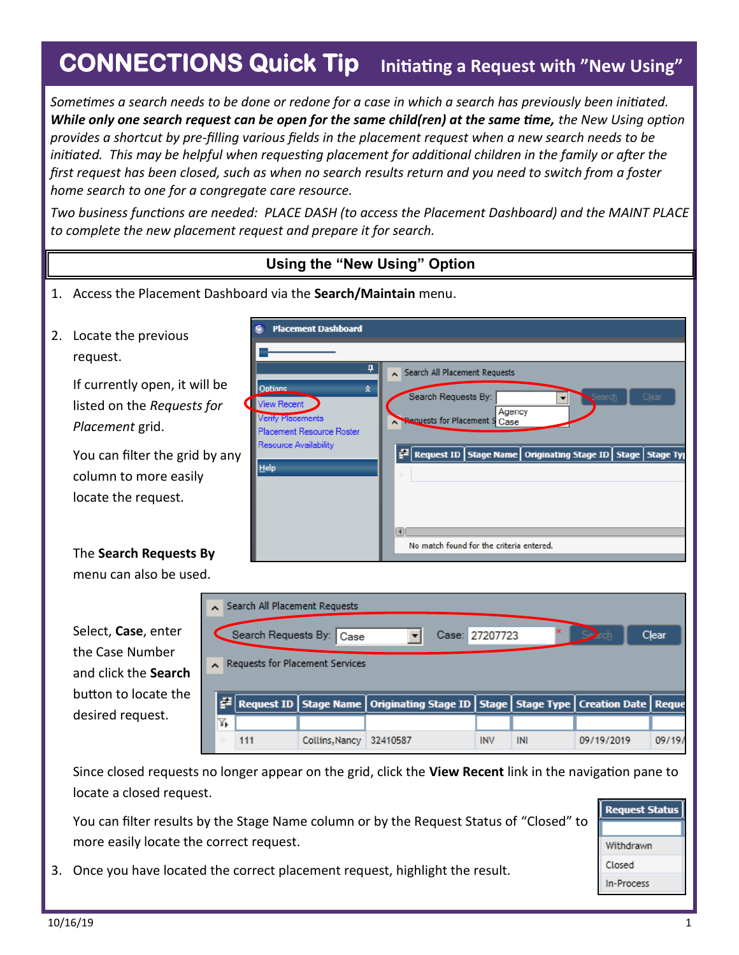## **CONNECTIONS Quick Tip Initiating a Request with "New Using"**

*Sometimes a search needs to be done or redone for a case in which a search has previously been initiated. While only one search request can be open for the same child(ren) at the same time, the New Using option provides a shortcut by pre-filling various fields in the placement request when a new search needs to be initiated. This may be helpful when requesting placement for additional children in the family or after the first request has been closed, such as when no search results return and you need to switch from a foster home search to one for a congregate care resource.* 

*Two business functions are needed: PLACE DASH (to access the Placement Dashboard) and the MAINT PLACE to complete the new placement request and prepare it for search.*



Since closed requests no longer appear on the grid, click the **View Recent** link in the navigation pane to locate a closed request.

You can filter results by the Stage Name column or by the Request Status of "Closed" to more easily locate the correct request.

- **Request Status** Withdrawn Closed **In-Process**
- 3. Once you have located the correct placement request, highlight the result.